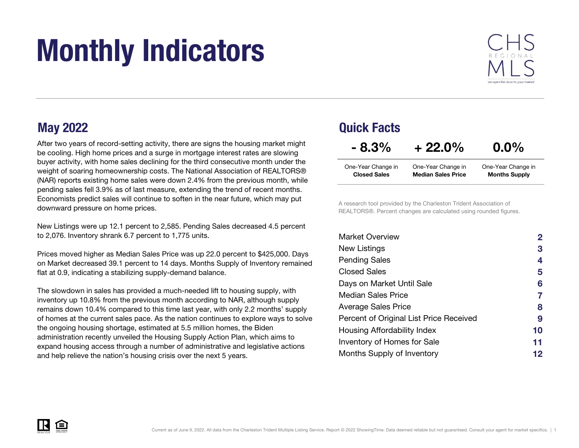# Monthly Indicators



After two years of record-setting activity, there are signs the housing market might be cooling. High home prices and a surge in mortgage interest rates are slowing buyer activity, with home sales declining for the third consecutive month under the weight of soaring homeownership costs. The National Association of REALTORS® (NAR) reports existing home sales were down 2.4% from the previous month, while pending sales fell 3.9% as of last measure, extending the trend of recent months. Economists predict sales will continue to soften in the near future, which may put downward pressure on home prices.

New Listings were up 12.1 percent to 2,585. Pending Sales decreased 4.5 percent to 2,076. Inventory shrank 6.7 percent to 1,775 units.

Prices moved higher as Median Sales Price was up 22.0 percent to \$425,000. Days on Market decreased 39.1 percent to 14 days. Months Supply of Inventory remained flat at 0.9, indicating a stabilizing supply-demand balance.

The slowdown in sales has provided a much-needed lift to housing supply, with inventory up 10.8% from the previous month according to NAR, although supply remains down 10.4% compared to this time last year, with only 2.2 months' supply of homes at the current sales pace. As the nation continues to explore ways to solve the ongoing housing shortage, estimated at 5.5 million homes, the Biden administration recently unveiled the Housing Supply Action Plan, which aims to expand housing access through a number of administrative and legislative actions and help relieve the nation's housing crisis over the next 5 years.

#### May 2022 Quick Facts One-Year Change in One-Year Change in Closed Sales Median Sales PriceMonths Supply  $-8.3\% + 22.0\%$  0.0% One-Year Change in

A research tool provided by the Charleston Trident Association of REALTORS®. Percent changes are calculated using rounded figures.

| <b>Market Overview</b>                  | $\overline{2}$ |
|-----------------------------------------|----------------|
| New Listings                            | 3              |
| <b>Pending Sales</b>                    | 4              |
| Closed Sales                            | 5              |
| Days on Market Until Sale               | 6              |
| <b>Median Sales Price</b>               | 7              |
| <b>Average Sales Price</b>              | 8              |
| Percent of Original List Price Received | 9              |
| Housing Affordability Index             | 10             |
| <b>Inventory of Homes for Sale</b>      | 11             |
| Months Supply of Inventory              | 12             |

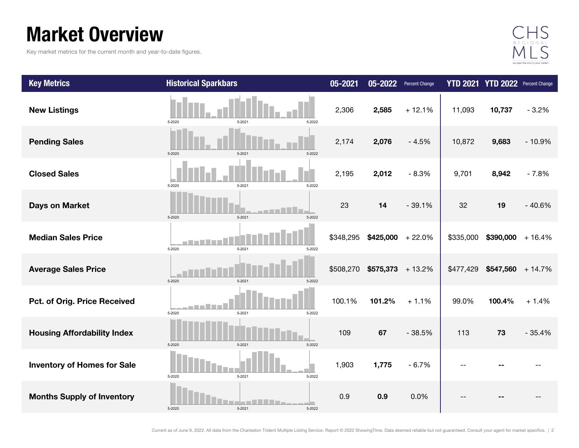### Market Overview

Key market metrics for the current month and year-to-date figures.



| <b>Key Metrics</b>                 | <b>Historical Sparkbars</b> | 05-2021   | 05-2022            | <b>Percent Change</b> |           | YTD 2021 YTD 2022 Percent Change |          |
|------------------------------------|-----------------------------|-----------|--------------------|-----------------------|-----------|----------------------------------|----------|
| <b>New Listings</b>                | 5-2020<br>5-2021<br>5-2022  | 2,306     | 2,585              | $+12.1%$              | 11,093    | 10,737                           | $-3.2%$  |
| <b>Pending Sales</b>               | 5-2021<br>5-2022<br>5-2020  | 2,174     | 2,076              | $-4.5%$               | 10,872    | 9,683                            | $-10.9%$ |
| <b>Closed Sales</b>                | 5-2020<br>5-2021<br>5-2022  | 2,195     | 2,012              | $-8.3%$               | 9,701     | 8,942                            | $-7.8%$  |
| <b>Days on Market</b>              | 5-2020<br>5-2021<br>5-2022  | 23        | 14                 | $-39.1%$              | 32        | 19                               | $-40.6%$ |
| <b>Median Sales Price</b>          | 5-2020<br>5-2021<br>5-2022  | \$348,295 | \$425,000          | $+22.0%$              | \$335,000 | $$390,000 + 16.4\%$              |          |
| <b>Average Sales Price</b>         | 5-2020<br>5-2021<br>5-2022  | \$508,270 | $$575,373$ + 13.2% |                       | \$477,429 | $$547,560$ + 14.7%               |          |
| Pct. of Orig. Price Received       | 5-2020<br>5-2021<br>5-2022  | 100.1%    | 101.2%             | $+1.1%$               | 99.0%     | 100.4%                           | $+1.4%$  |
| <b>Housing Affordability Index</b> | 5-2020<br>5-2021<br>5-2022  | 109       | 67                 | $-38.5%$              | 113       | 73                               | $-35.4%$ |
| <b>Inventory of Homes for Sale</b> | 5-2021<br>5-2020<br>5-2022  | 1,903     | 1,775              | $-6.7%$               |           |                                  |          |
| <b>Months Supply of Inventory</b>  | 5-2020<br>5-2021<br>5-2022  | 0.9       | 0.9                | 0.0%                  |           |                                  |          |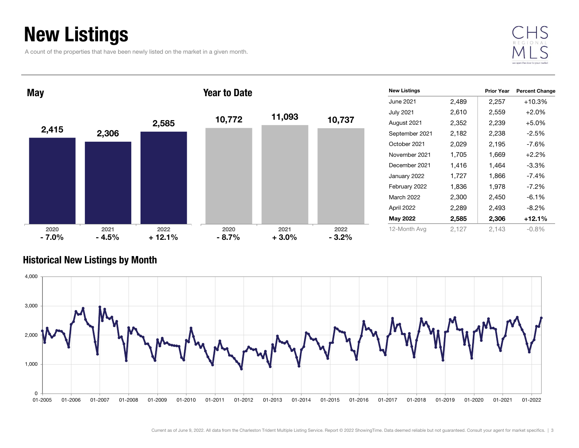### New Listings

A count of the properties that have been newly listed on the market in a given month.





#### Historical New Listings by Month

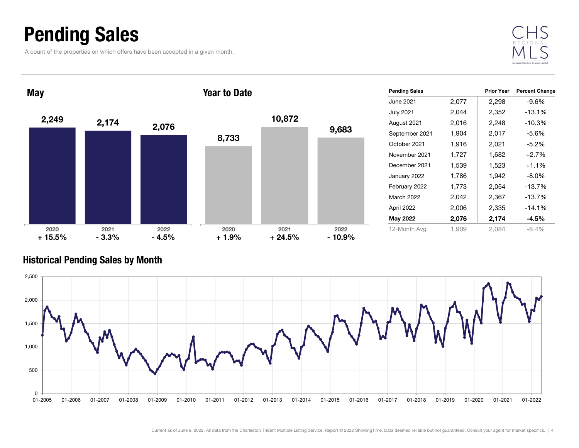### Pending Sales

A count of the properties on which offers have been accepted in a given month.





#### Historical Pending Sales by Month

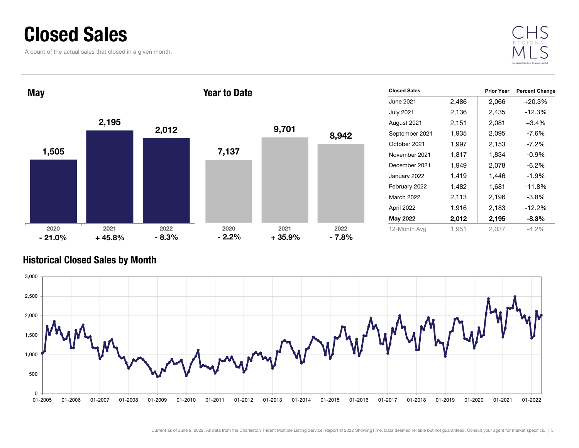### Closed Sales

A count of the actual sales that closed in a given month.



| <b>Year to Date</b> |       | June 2021<br><b>July 2021</b> | 2,486<br>2,136 | 2,066 | $+20.3%$ |
|---------------------|-------|-------------------------------|----------------|-------|----------|
|                     |       |                               |                |       |          |
|                     |       |                               |                | 2,435 | $-12.3%$ |
|                     |       | August 2021                   | 2,151          | 2,081 | $+3.4%$  |
|                     |       | September 2021                | 1,935          | 2,095 | $-7.6%$  |
|                     |       | October 2021                  | 1,997          | 2,153 | $-7.2%$  |
|                     |       | November 2021                 | 1,817          | 1,834 | $-0.9%$  |
|                     |       | December 2021                 | 1,949          | 2,078 | $-6.2%$  |
|                     |       | January 2022                  | 1,419          | 1,446 | $-1.9%$  |
|                     |       | February 2022                 | 1,482          | 1,681 | $-11.8%$ |
|                     |       | March 2022                    | 2,113          | 2,196 | $-3.8%$  |
|                     |       | April 2022                    | 1,916          | 2,183 | $-12.2%$ |
|                     |       | May 2022                      | 2,012          | 2,195 | $-8.3%$  |
| 2021                | 2022  | 12-Month Avg                  | 1,951          | 2,037 | $-4.2%$  |
|                     | 9,701 | 8,942<br>$+35.9%$<br>$-7.8%$  |                |       |          |

### Historical Closed Sales by Month

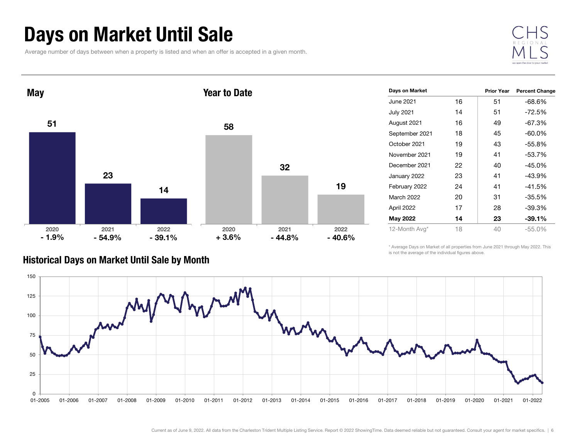### Days on Market Until Sale

Average number of days between when a property is listed and when an offer is accepted in a given month.





| Days on Market    |    | <b>Prior Year</b> | <b>Percent Change</b> |
|-------------------|----|-------------------|-----------------------|
| June 2021         | 16 | 51                | -68.6%                |
| <b>July 2021</b>  | 14 | 51                | -72.5%                |
| August 2021       | 16 | 49                | -67.3%                |
| September 2021    | 18 | 45                | -60.0%                |
| October 2021      | 19 | 43                | $-55.8%$              |
| November 2021     | 19 | 41                | $-53.7%$              |
| December 2021     | 22 | 40                | -45.0%                |
| January 2022      | 23 | 41                | -43.9%                |
| February 2022     | 24 | 41                | $-41.5%$              |
| <b>March 2022</b> | 20 | 31                | $-35.5%$              |
| April 2022        | 17 | 28                | -39.3%                |
| May 2022          | 14 | 23                | $-39.1%$              |
| 12-Month Avg*     | 18 | 40                | $-55.0%$              |

#### Historical Days on Market Until Sale by Month

\* Average Days on Market of all properties from June 2021 through May 2022. This is not the average of the individual figures above.

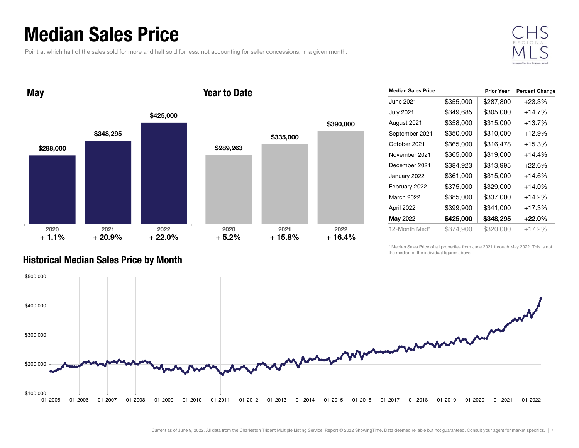### Median Sales Price

Point at which half of the sales sold for more and half sold for less, not accounting for seller concessions, in a given month.



May

#### Year to Date



| <b>Median Sales Price</b> |           | <b>Prior Year</b> | <b>Percent Change</b> |
|---------------------------|-----------|-------------------|-----------------------|
| June 2021                 | \$355,000 | \$287,800         | $+23.3%$              |
| <b>July 2021</b>          | \$349,685 | \$305,000         | $+14.7%$              |
| August 2021               | \$358,000 | \$315,000         | +13.7%                |
| September 2021            | \$350,000 | \$310,000         | $+12.9\%$             |
| October 2021              | \$365,000 | \$316,478         | $+15.3%$              |
| November 2021             | \$365,000 | \$319,000         | $+14.4%$              |
| December 2021             | \$384,923 | \$313,995         | $+22.6%$              |
| January 2022              | \$361,000 | \$315,000         | $+14.6%$              |
| February 2022             | \$375,000 | \$329,000         | $+14.0\%$             |
| March 2022                | \$385,000 | \$337,000         | $+14.2%$              |
| April 2022                | \$399,900 | \$341,000         | $+17.3%$              |
| May 2022                  | \$425,000 | \$348,295         | $+22.0\%$             |
| 12-Month Med*             | \$374,900 | \$320,000         | $+17.2%$              |

\* Median Sales Price of all properties from June 2021 through May 2022. This is not the median of the individual figures above.



#### Historical Median Sales Price by Month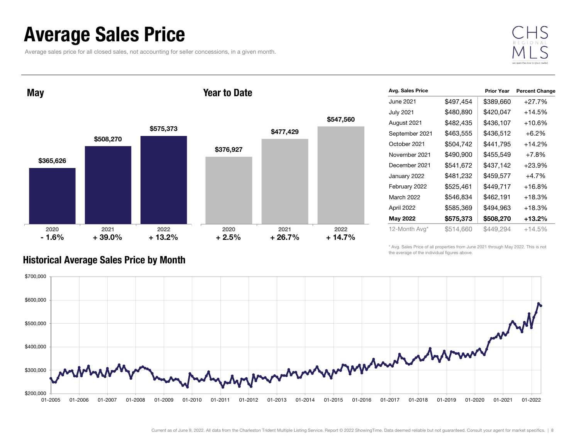### Average Sales Price

Average sales price for all closed sales, not accounting for seller concessions, in a given month.



**May** 

#### Year to Date



| Avg. Sales Price  |           | <b>Prior Year</b> | <b>Percent Change</b> |
|-------------------|-----------|-------------------|-----------------------|
| June 2021         | \$497,454 | \$389,660         | $+27.7%$              |
| <b>July 2021</b>  | \$480,890 | \$420,047         | $+14.5%$              |
| August 2021       | \$482,435 | \$436,107         | +10.6%                |
| September 2021    | \$463,555 | \$436,512         | $+6.2\%$              |
| October 2021      | \$504,742 | \$441,795         | $+14.2%$              |
| November 2021     | \$490,900 | \$455,549         | $+7.8%$               |
| December 2021     | \$541,672 | \$437,142         | $+23.9%$              |
| January 2022      | \$481,232 | \$459,577         | $+4.7%$               |
| February 2022     | \$525,461 | \$449,717         | $+16.8%$              |
| <b>March 2022</b> | \$546,834 | \$462,191         | +18.3%                |
| April 2022        | \$585,369 | \$494,963         | $+18.3%$              |
| May 2022          | \$575,373 | \$508,270         | +13.2%                |
| 12-Month Avg*     | \$514,660 | \$449,294         | +14.5%                |

\* Avg. Sales Price of all properties from June 2021 through May 2022. This is not the average of the individual figures above.



#### Historical Average Sales Price by Month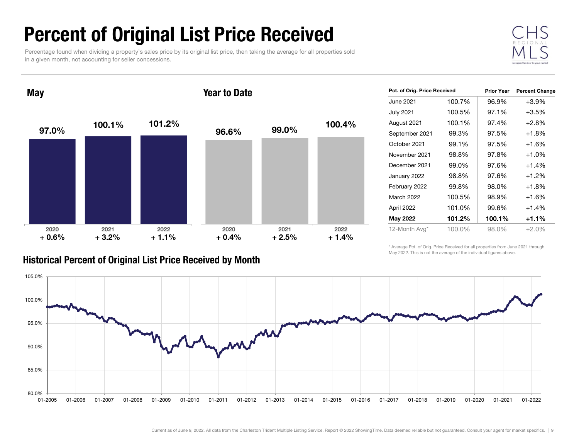### Percent of Original List Price Received

Percentage found when dividing a property's sales price by its original list price, then taking the average for all properties sold in a given month, not accounting for seller concessions.



97.0% 100.1 % 101.2 %2020 2021 2022 **May** 96.6%99.0% 100.4% 2020 2021 2022 Year to Date<sup>+</sup> 0.6%<sup>+</sup> 3.2% <sup>+</sup> 1.1% <sup>+</sup> 0.4% <sup>+</sup> 2.5% <sup>+</sup> 1.4%

|  | <b>Historical Percent of Original List Price Received by Month</b> |  |  |  |
|--|--------------------------------------------------------------------|--|--|--|
|--|--------------------------------------------------------------------|--|--|--|

| Pct. of Orig. Price Received |        | <b>Prior Year</b> | <b>Percent Change</b> |
|------------------------------|--------|-------------------|-----------------------|
| June 2021                    | 100.7% | 96.9%             | $+3.9%$               |
| <b>July 2021</b>             | 100.5% | 97.1%             | $+3.5%$               |
| August 2021                  | 100.1% | 97.4%             | $+2.8%$               |
| September 2021               | 99.3%  | 97.5%             | $+1.8%$               |
| October 2021                 | 99.1%  | 97.5%             | $+1.6%$               |
| November 2021                | 98.8%  | 97.8%             | $+1.0%$               |
| December 2021                | 99.0%  | 97.6%             | $+1.4%$               |
| January 2022                 | 98.8%  | 97.6%             | $+1.2%$               |
| February 2022                | 99.8%  | 98.0%             | $+1.8\%$              |
| March 2022                   | 100.5% | 98.9%             | $+1.6%$               |
| April 2022                   | 101.0% | 99.6%             | $+1.4%$               |
| May 2022                     | 101.2% | 100.1%            | $+1.1%$               |
| 12-Month Avg*                | 100.0% | 98.0%             | $+2.0%$               |

\* Average Pct. of Orig. Price Received for all properties from June 2021 through May 2022. This is not the average of the individual figures above.

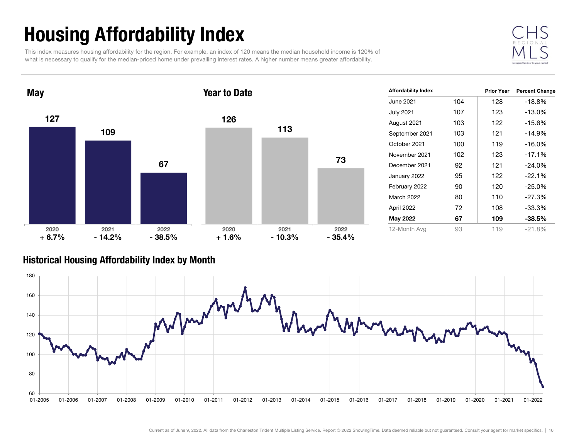## Housing Affordability Index

This index measures housing affordability for the region. For example, an index of 120 means the median household income is 120% of what is necessary to qualify for the median-priced home under prevailing interest rates. A higher number means greater affordability.



Prior Year Percent Change June 2021 104 128 -18.8%July 2021 107 123 -13.0% August 2021 103 122 -15.6% September 2021 103 121 -14.9% October 2021 100 119 -16.0%November 2021 102 123 -17.1%December 2021 92 121 -24.0%January 2022 95 122 -22.1% February 2022 90 120 -25.0% March 2022 80 110 -27.3%April 2022 72 108 -33.3% May 2022 67 009 -38.5% 12-Month Avg 93 119 -21.8% Affordability Index 127109672020 2021 2022 **May** 126113732020 2021 2022 Year to Date $+ 6.7\%$   $- 14.2\%$   $- 38.5\%$   $+ 1.6\%$  $-38.5\%$   $+1.6\%$   $-10.3\%$   $-35.4\%$ 

#### Historical Housing Affordability Index by Mont h

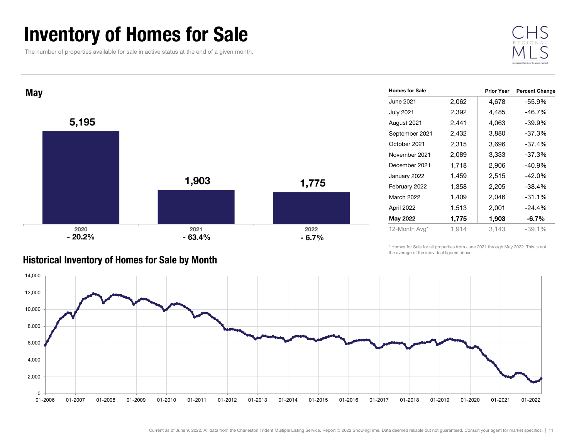### Inventory of Homes for Sale

The number of properties available for sale in active status at the end of a given month.





#### Historical Inventory of Homes for Sale by Month

\* Homes for Sale for all properties from June 2021 through May 2022. This is not the average of the individual figures above.



| <b>Homes for Sale</b> |       | <b>Prior Year</b> | <b>Percent Change</b> |
|-----------------------|-------|-------------------|-----------------------|
| June 2021             | 2,062 | 4,678             | -55.9%                |
| <b>July 2021</b>      | 2,392 | 4,485             | -46.7%                |
| August 2021           | 2,441 | 4,063             | $-39.9%$              |
| September 2021        | 2,432 | 3,880             | -37.3%                |
| October 2021          | 2,315 | 3,696             | $-37.4%$              |
| November 2021         | 2,089 | 3,333             | -37.3%                |
| December 2021         | 1,718 | 2,906             | $-40.9%$              |
| January 2022          | 1,459 | 2,515             | -42.0%                |
| February 2022         | 1,358 | 2,205             | $-38.4%$              |
| <b>March 2022</b>     | 1,409 | 2,046             | $-31.1%$              |
| April 2022            | 1,513 | 2,001             | $-24.4%$              |
| May 2022              | 1,775 | 1,903             | $-6.7\%$              |
| 12-Month Avg*         | 1,914 | 3,143             | $-39.1%$              |